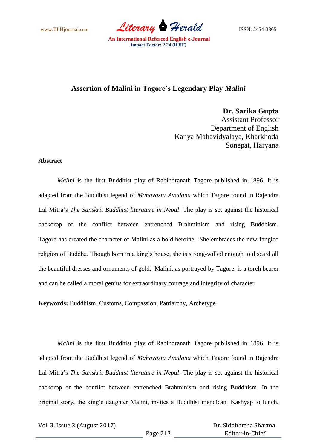www.TLHjournal.com *Literary Herald*ISSN: 2454-3365

## **Assertion of Malini in Tagore's Legendary Play** *Malini*

**Dr. Sarika Gupta**

Assistant Professor Department of English Kanya Mahavidyalaya, Kharkhoda Sonepat, Haryana

## **Abstract**

*Malini* is the first Buddhist play of Rabindranath Tagore published in 1896. It is adapted from the Buddhist legend of *Mahavastu Avadana* which Tagore found in Rajendra Lal Mitra"s *The Sanskrit Buddhist literature in Nepal*. The play is set against the historical backdrop of the conflict between entrenched Brahminism and rising Buddhism. Tagore has created the character of Malini as a bold heroine. She embraces the new-fangled religion of Buddha. Though born in a king"s house, she is strong-willed enough to discard all the beautiful dresses and ornaments of gold. Malini, as portrayed by Tagore, is a torch bearer and can be called a moral genius for extraordinary courage and integrity of character.

**Keywords:** Buddhism, Customs, Compassion, Patriarchy, Archetype

*Malini* is the first Buddhist play of Rabindranath Tagore published in 1896. It is adapted from the Buddhist legend of *Mahavastu Avadana* which Tagore found in Rajendra Lal Mitra"s *The Sanskrit Buddhist literature in Nepal*. The play is set against the historical backdrop of the conflict between entrenched Brahminism and rising Buddhism. In the original story, the king"s daughter Malini, invites a Buddhist mendicant Kashyap to lunch.

Vol. 3, Issue 2 (August 2017)

 Dr. Siddhartha Sharma Editor-in-Chief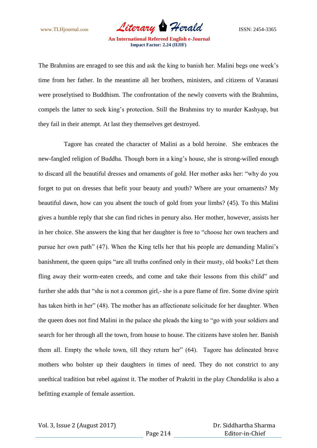www.TLHjournal.com *Literary Herald*ISSN: 2454-3365

The Brahmins are enraged to see this and ask the king to banish her. Malini begs one week"s time from her father. In the meantime all her brothers, ministers, and citizens of Varanasi were proselytised to Buddhism. The confrontation of the newly converts with the Brahmins, compels the latter to seek king"s protection. Still the Brahmins try to murder Kashyap, but they fail in their attempt. At last they themselves get destroyed.

 Tagore has created the character of Malini as a bold heroine. She embraces the new-fangled religion of Buddha. Though born in a king"s house, she is strong-willed enough to discard all the beautiful dresses and ornaments of gold. Her mother asks her: "why do you forget to put on dresses that befit your beauty and youth? Where are your ornaments? My beautiful dawn, how can you absent the touch of gold from your limbs? (45). To this Malini gives a humble reply that she can find riches in penury also. Her mother, however, assists her in her choice. She answers the king that her daughter is free to "choose her own teachers and pursue her own path" (47). When the King tells her that his people are demanding Malini"s banishment, the queen quips "are all truths confined only in their musty, old books? Let them fling away their worm-eaten creeds, and come and take their lessons from this child" and further she adds that "she is not a common girl,- she is a pure flame of fire. Some divine spirit has taken birth in her" (48). The mother has an affectionate solicitude for her daughter. When the queen does not find Malini in the palace she pleads the king to "go with your soldiers and search for her through all the town, from house to house. The citizens have stolen her. Banish them all. Empty the whole town, till they return her" (64). Tagore has delineated brave mothers who bolster up their daughters in times of need. They do not constrict to any unethical tradition but rebel against it. The mother of Prakriti in the play *Chandalika* is also a befitting example of female assertion.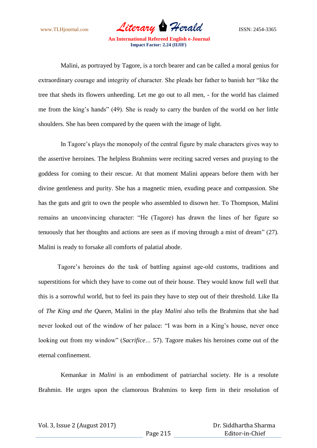www.TLHjournal.com *Literary Herald*ISSN: 2454-3365

 Malini, as portrayed by Tagore, is a torch bearer and can be called a moral genius for extraordinary courage and integrity of character. She pleads her father to banish her "like the tree that sheds its flowers unheeding. Let me go out to all men, - for the world has claimed me from the king"s hands" (49). She is ready to carry the burden of the world on her little shoulders. She has been compared by the queen with the image of light.

In Tagore's plays the monopoly of the central figure by male characters gives way to the assertive heroines. The helpless Brahmins were reciting sacred verses and praying to the goddess for coming to their rescue. At that moment Malini appears before them with her divine gentleness and purity. She has a magnetic mien, exuding peace and compassion. She has the guts and grit to own the people who assembled to disown her. To Thompson, Malini remains an unconvincing character: "He (Tagore) has drawn the lines of her figure so tenuously that her thoughts and actions are seen as if moving through a mist of dream" (27). Malini is ready to forsake all comforts of palatial abode.

Tagore"s heroines do the task of battling against age-old customs, traditions and superstitions for which they have to come out of their house. They would know full well that this is a sorrowful world, but to feel its pain they have to step out of their threshold. Like Ila of *The King and the Queen*, Malini in the play *Malini* also tells the Brahmins that she had never looked out of the window of her palace: "I was born in a King"s house, never once looking out from my window" (*Sacrifice…* 57). Tagore makes his heroines come out of the eternal confinement.

 Kemankar in *Malini* is an embodiment of patriarchal society. He is a resolute Brahmin. He urges upon the clamorous Brahmins to keep firm in their resolution of

Page 215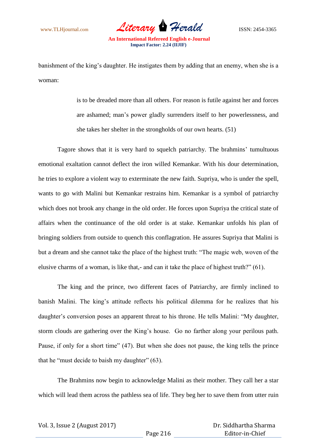www.TLHjournal.com *Literary Herald*ISSN: 2454-3365

banishment of the king"s daughter. He instigates them by adding that an enemy, when she is a woman:

> is to be dreaded more than all others. For reason is futile against her and forces are ashamed; man"s power gladly surrenders itself to her powerlessness, and she takes her shelter in the strongholds of our own hearts. (51)

Tagore shows that it is very hard to squelch patriarchy. The brahmins" tumultuous emotional exaltation cannot deflect the iron willed Kemankar. With his dour determination, he tries to explore a violent way to exterminate the new faith. Supriya, who is under the spell, wants to go with Malini but Kemankar restrains him. Kemankar is a symbol of patriarchy which does not brook any change in the old order. He forces upon Supriya the critical state of affairs when the continuance of the old order is at stake. Kemankar unfolds his plan of bringing soldiers from outside to quench this conflagration. He assures Supriya that Malini is but a dream and she cannot take the place of the highest truth: "The magic web, woven of the elusive charms of a woman, is like that,- and can it take the place of highest truth?" (61).

The king and the prince, two different faces of Patriarchy, are firmly inclined to banish Malini. The king's attitude reflects his political dilemma for he realizes that his daughter's conversion poses an apparent threat to his throne. He tells Malini: "My daughter, storm clouds are gathering over the King"s house. Go no farther along your perilous path. Pause, if only for a short time" (47). But when she does not pause, the king tells the prince that he "must decide to baish my daughter" (63).

The Brahmins now begin to acknowledge Malini as their mother. They call her a star which will lead them across the pathless sea of life. They beg her to save them from utter ruin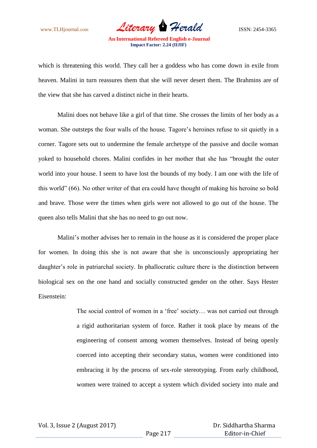www.TLHjournal.com *Literary Herald* ISSN: 2454-3365

which is threatening this world. They call her a goddess who has come down in exile from heaven. Malini in turn reassures them that she will never desert them. The Brahmins are of the view that she has carved a distinct niche in their hearts.

Malini does not behave like a girl of that time. She crosses the limits of her body as a woman. She outsteps the four walls of the house. Tagore"s heroines refuse to sit quietly in a corner. Tagore sets out to undermine the female archetype of the passive and docile woman yoked to household chores. Malini confides in her mother that she has "brought the outer world into your house. I seem to have lost the bounds of my body. I am one with the life of this world" (66). No other writer of that era could have thought of making his heroine so bold and brave. Those were the times when girls were not allowed to go out of the house. The queen also tells Malini that she has no need to go out now.

Malini's mother advises her to remain in the house as it is considered the proper place for women. In doing this she is not aware that she is unconsciously appropriating her daughter's role in patriarchal society. In phallocratic culture there is the distinction between biological sex on the one hand and socially constructed gender on the other. Says Hester Eisenstein:

> The social control of women in a 'free' society... was not carried out through a rigid authoritarian system of force. Rather it took place by means of the engineering of consent among women themselves. Instead of being openly coerced into accepting their secondary status, women were conditioned into embracing it by the process of sex-role stereotyping. From early childhood, women were trained to accept a system which divided society into male and

Page 217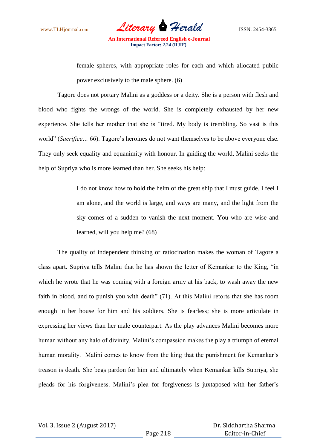www.TLHjournal.com *Literary Herald*ISSN: 2454-3365

female spheres, with appropriate roles for each and which allocated public power exclusively to the male sphere. (6)

Tagore does not portary Malini as a goddess or a deity. She is a person with flesh and blood who fights the wrongs of the world. She is completely exhausted by her new experience. She tells her mother that she is "tired. My body is trembling. So vast is this world" (*Sacrifice…* 66). Tagore"s heroines do not want themselves to be above everyone else. They only seek equality and equanimity with honour. In guiding the world, Malini seeks the help of Supriya who is more learned than her. She seeks his help:

> I do not know how to hold the helm of the great ship that I must guide. I feel I am alone, and the world is large, and ways are many, and the light from the sky comes of a sudden to vanish the next moment. You who are wise and learned, will you help me? (68)

The quality of independent thinking or ratiocination makes the woman of Tagore a class apart. Supriya tells Malini that he has shown the letter of Kemankar to the King, "in which he wrote that he was coming with a foreign army at his back, to wash away the new faith in blood, and to punish you with death" (71). At this Malini retorts that she has room enough in her house for him and his soldiers. She is fearless; she is more articulate in expressing her views than her male counterpart. As the play advances Malini becomes more human without any halo of divinity. Malini's compassion makes the play a triumph of eternal human morality. Malini comes to know from the king that the punishment for Kemankar's treason is death. She begs pardon for him and ultimately when Kemankar kills Supriya, she pleads for his forgiveness. Malini"s plea for forgiveness is juxtaposed with her father"s